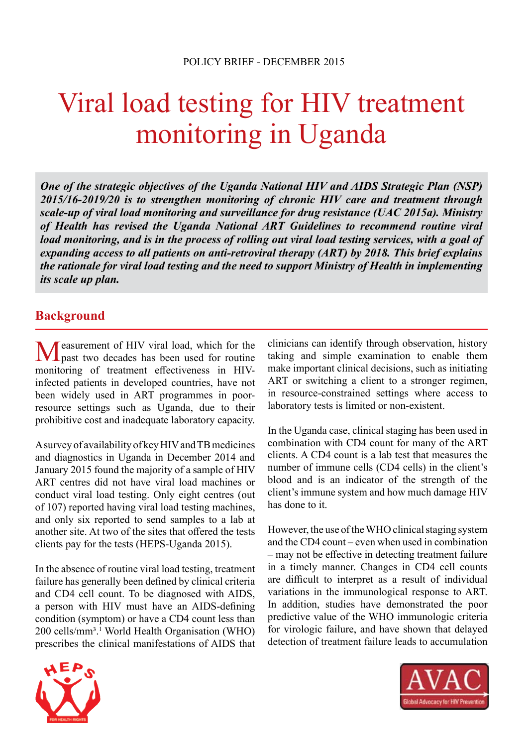# Viral load testing for HIV treatment monitoring in Uganda

*One of the strategic objectives of the Uganda National HIV and AIDS Strategic Plan (NSP) 2015/16-2019/20 is to strengthen monitoring of chronic HIV care and treatment through scale-up of viral load monitoring and surveillance for drug resistance (UAC 2015a). Ministry of Health has revised the Uganda National ART Guidelines to recommend routine viral load monitoring, and is in the process of rolling out viral load testing services, with a goal of expanding access to all patients on anti-retroviral therapy (ART) by 2018. This brief explains the rationale for viral load testing and the need to support Ministry of Health in implementing its scale up plan.*

## **Background**

Measurement of HIV viral load, which for the past two decades has been used for routine monitoring of treatment effectiveness in HIVinfected patients in developed countries, have not been widely used in ART programmes in poorresource settings such as Uganda, due to their prohibitive cost and inadequate laboratory capacity.

A survey of availability of key HIV and TB medicines and diagnostics in Uganda in December 2014 and January 2015 found the majority of a sample of HIV ART centres did not have viral load machines or conduct viral load testing. Only eight centres (out of 107) reported having viral load testing machines, and only six reported to send samples to a lab at another site. At two of the sites that offered the tests clients pay for the tests (HEPS-Uganda 2015).

In the absence of routine viral load testing, treatment failure has generally been defined by clinical criteria and CD4 cell count. To be diagnosed with AIDS, a person with HIV must have an AIDS-defining condition (symptom) or have a CD4 count less than 200 cells/mm<sup>3</sup>.<sup>1</sup> World Health Organisation (WHO) prescribes the clinical manifestations of AIDS that

clinicians can identify through observation, history taking and simple examination to enable them make important clinical decisions, such as initiating ART or switching a client to a stronger regimen, in resource-constrained settings where access to laboratory tests is limited or non-existent.

In the Uganda case, clinical staging has been used in combination with CD4 count for many of the ART clients. A CD4 count is a lab test that measures the number of immune cells (CD4 cells) in the client's blood and is an indicator of the strength of the client's immune system and how much damage HIV has done to it.

However, the use of the WHO clinical staging system and the CD4 count – even when used in combination – may not be effective in detecting treatment failure in a timely manner. Changes in CD4 cell counts are difficult to interpret as a result of individual variations in the immunological response to ART. In addition, studies have demonstrated the poor predictive value of the WHO immunologic criteria for virologic failure, and have shown that delayed detection of treatment failure leads to accumulation



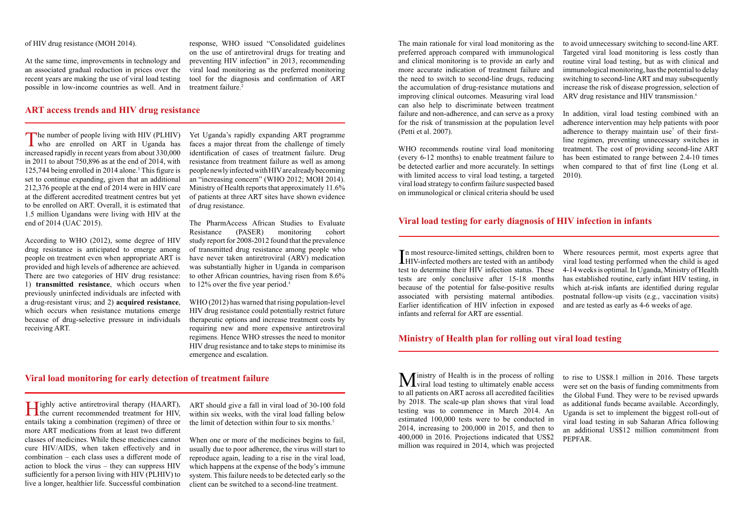of HIV drug resistance (MOH 2014).

The main rationale for viral load monitoring as the to avoid unnecessary switching to second-line ART. preferred approach compared with immunological and clinical monitoring is to provide an early and more accurate indication of treatment failure and the need to switch to second-line drugs, reducing the accumulation of drug-resistance mutations and improving clinical outcomes. Measuring viral load can also help to discriminate between treatment failure and non-adherence, and can serve as a proxy for the risk of transmission at the population level (Petti et al. 2007). Targeted viral load monitoring is less costly than routine viral load testing, but as with clinical and immunological monitoring, has the potential to delay switching to second-line ART and may subsequently increase the risk of disease progression, selection of ARV drug resistance and HIV transmission.<sup>6</sup> In addition, viral load testing combined with an adherence intervention may help patients with poor adherence to therapy maintain use<sup>7</sup> of their first-

At the same time, improvements in technology and an associated gradual reduction in prices over the recent years are making the use of viral load testing possible in low-income countries as well. And in

> WHO recommends routine viral load monitoring (every 6-12 months) to enable treatment failure to be detected earlier and more accurately. In settings with limited access to viral load testing, a targeted viral load strategy to confirm failure suspected based on immunological or clinical criteria should be used

The number of people living with HIV (PLHIV)<br>who are enrolled on ART in Uganda has increased rapidly in recent years from about 330,000 in 2011 to about 750,896 as at the end of 2014, with 125,744 being enrolled in 2014 alone.<sup>3</sup> This figure is set to continue expanding, given that an additional 212,376 people at the end of 2014 were in HIV care at the different accredited treatment centres but yet to be enrolled on ART. Overall, it is estimated that 1.5 million Ugandans were living with HIV at the end of 2014 (UAC 2015).

line regimen, preventing unnecessary switches in treatment. The cost of providing second-line ART has been estimated to range between 2.4-10 times when compared to that of first line (Long et al. 2010).

response, WHO issued "Consolidated guidelines on the use of antiretroviral drugs for treating and preventing HIV infection" in 2013, recommending viral load monitoring as the preferred monitoring tool for the diagnosis and confirmation of ART treatment failure.2

## **ART access trends and HIV drug resistance**

ART should give a fall in viral load of 30-100 fold within six weeks, with the viral load falling below the limit of detection within four to six months.<sup>5</sup>

According to WHO (2012), some degree of HIV drug resistance is anticipated to emerge among people on treatment even when appropriate ART is provided and high levels of adherence are achieved. There are two categories of HIV drug resistance: 1) **transmitted resistance**, which occurs when previously uninfected individuals are infected with a drug-resistant virus; and 2) **acquired resistance**, which occurs when resistance mutations emerge because of drug-selective pressure in individuals receiving ART.

In most resource-limited settings, children born to<br>HIV-infected mothers are tested with an antibody **LHIV-infected mothers are tested with an antibody** test to determine their HIV infection status. These tests are only conclusive after 15-18 months because of the potential for false-positive results associated with persisting maternal antibodies. Earlier identification of HIV infection in exposed infants and referral for ART are essential. Where resources permit, most experts agree that viral load testing performed when the child is aged 4-14 weeks is optimal. In Uganda, Ministry of Health has established routine, early infant HIV testing, in which at-risk infants are identified during regular postnatal follow-up visits (e.g., vaccination visits) and are tested as early as 4-6 weeks of age.

Yet Uganda's rapidly expanding ART programme faces a major threat from the challenge of timely identification of cases of treatment failure. Drug resistance from treatment failure as well as among people newly infected with HIV are already becoming an "increasing concern" (WHO 2012; MOH 2014). Ministry of Health reports that approximately 11.6% of patients at three ART sites have shown evidence of drug resistance.

> Ministry of Health is in the process of rolling<br>
> viral load testing to ultimately enable access to all patients on ART across all accredited facilities by 2018. The scale-up plan shows that viral load testing was to commence in March 2014. An estimated 100,000 tests were to be conducted in 2014, increasing to 200,000 in 2015, and then to 400,000 in 2016. Projections indicated that US\$2 million was required in 2014, which was projected to rise to US\$8.1 million in 2016. These targets were set on the basis of funding commitments from the Global Fund. They were to be revised upwards as additional funds became available. Accordingly, Uganda is set to implement the biggest roll-out of viral load testing in sub Saharan Africa following an additional US\$12 million commitment from PEPFAR.

The PharmAccess African Studies to Evaluate Resistance (PASER) monitoring cohort study report for 2008-2012 found that the prevalence of transmitted drug resistance among people who have never taken antiretroviral (ARV) medication was substantially higher in Uganda in comparison to other African countries, having risen from 8.6% to 12% over the five year period.<sup>4</sup>

WHO (2012) has warned that rising population-level HIV drug resistance could potentially restrict future therapeutic options and increase treatment costs by requiring new and more expensive antiretroviral regimens. Hence WHO stresses the need to monitor HIV drug resistance and to take steps to minimise its emergence and escalation.

### **Viral load monitoring for early detection of treatment failure**

Highly active antiretroviral therapy (HAART), the current recommended treatment for HIV, entails taking a combination (regimen) of three or more ART medications from at least two different classes of medicines. While these medicines cannot cure HIV/AIDS, when taken effectively and in combination – each class uses a different mode of action to block the virus – they can suppress HIV sufficiently for a person living with HIV (PLHIV) to live a longer, healthier life. Successful combination

When one or more of the medicines begins to fail, usually due to poor adherence, the virus will start to reproduce again, leading to a rise in the viral load, which happens at the expense of the body's immune system. This failure needs to be detected early so the client can be switched to a second-line treatment.

#### **Viral load testing for early diagnosis of HIV infection in infants**

## **Ministry of Health plan for rolling out viral load testing**